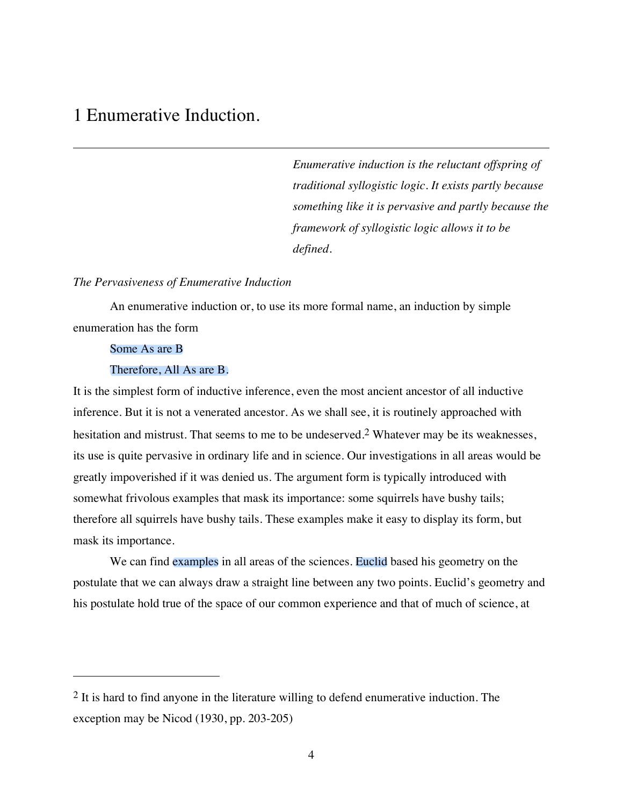# 1 Enumerative Induction.

*Enumerative induction is the reluctant offspring of traditional syllogistic logic. It exists partly because something like it is pervasive and partly because the framework of syllogistic logic allows it to be defined.*

### *The Pervasiveness of Enumerative Induction*

An enumerative induction or, to use its more formal name, an induction by simple enumeration has the form

### Some As are B

 $\overline{a}$ 

#### Therefore, All As are B.

It is the simplest form of inductive inference, even the most ancient ancestor of all inductive inference. But it is not a venerated ancestor. As we shall see, it is routinely approached with hesitation and mistrust. That seems to me to be undeserved.<sup>2</sup> Whatever may be its weaknesses, its use is quite pervasive in ordinary life and in science. Our investigations in all areas would be greatly impoverished if it was denied us. The argument form is typically introduced with somewhat frivolous examples that mask its importance: some squirrels have bushy tails; therefore all squirrels have bushy tails. These examples make it easy to display its form, but mask its importance.

We can find examples in all areas of the sciences. Euclid based his geometry on the postulate that we can always draw a straight line between any two points. Euclid's geometry and his postulate hold true of the space of our common experience and that of much of science, at

<sup>&</sup>lt;sup>2</sup> It is hard to find anyone in the literature willing to defend enumerative induction. The exception may be Nicod (1930, pp. 203-205)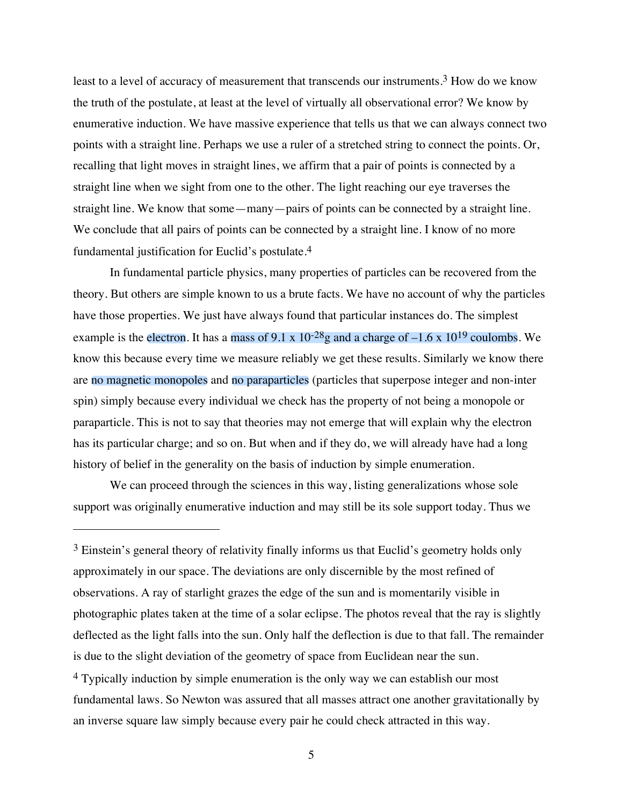least to a level of accuracy of measurement that transcends our instruments.3 How do we know the truth of the postulate, at least at the level of virtually all observational error? We know by enumerative induction. We have massive experience that tells us that we can always connect two points with a straight line. Perhaps we use a ruler of a stretched string to connect the points. Or, recalling that light moves in straight lines, we affirm that a pair of points is connected by a straight line when we sight from one to the other. The light reaching our eye traverses the straight line. We know that some—many—pairs of points can be connected by a straight line. We conclude that all pairs of points can be connected by a straight line. I know of no more fundamental justification for Euclid's postulate.4

In fundamental particle physics, many properties of particles can be recovered from the theory. But others are simple known to us a brute facts. We have no account of why the particles have those properties. We just have always found that particular instances do. The simplest example is the electron. It has a mass of 9.1 x  $10^{-28}$  g and a charge of  $-1.6$  x  $10^{19}$  coulombs. We know this because every time we measure reliably we get these results. Similarly we know there are no magnetic monopoles and no paraparticles (particles that superpose integer and non-inter spin) simply because every individual we check has the property of not being a monopole or paraparticle. This is not to say that theories may not emerge that will explain why the electron has its particular charge; and so on. But when and if they do, we will already have had a long history of belief in the generality on the basis of induction by simple enumeration.

We can proceed through the sciences in this way, listing generalizations whose sole support was originally enumerative induction and may still be its sole support today. Thus we

 $\overline{a}$ 

an inverse square law simply because every pair he could check attracted in this way.

 $3$  Einstein's general theory of relativity finally informs us that Euclid's geometry holds only approximately in our space. The deviations are only discernible by the most refined of observations. A ray of starlight grazes the edge of the sun and is momentarily visible in photographic plates taken at the time of a solar eclipse. The photos reveal that the ray is slightly deflected as the light falls into the sun. Only half the deflection is due to that fall. The remainder is due to the slight deviation of the geometry of space from Euclidean near the sun. 4 Typically induction by simple enumeration is the only way we can establish our most fundamental laws. So Newton was assured that all masses attract one another gravitationally by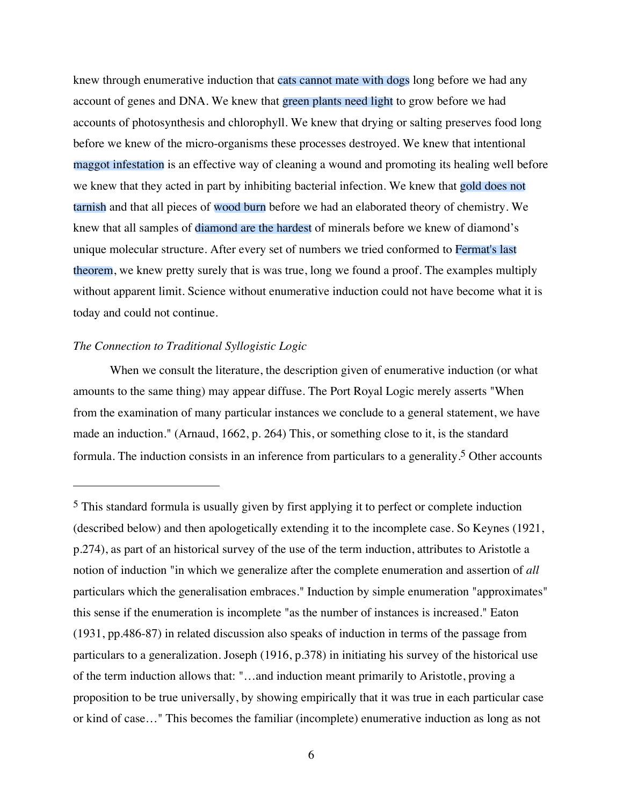knew through enumerative induction that cats cannot mate with dogs long before we had any account of genes and DNA. We knew that green plants need light to grow before we had accounts of photosynthesis and chlorophyll. We knew that drying or salting preserves food long before we knew of the micro-organisms these processes destroyed. We knew that intentional maggot infestation is an effective way of cleaning a wound and promoting its healing well before we knew that they acted in part by inhibiting bacterial infection. We knew that gold does not tarnish and that all pieces of wood burn before we had an elaborated theory of chemistry. We knew that all samples of diamond are the hardest of minerals before we knew of diamond's unique molecular structure. After every set of numbers we tried conformed to Fermat's last theorem, we knew pretty surely that is was true, long we found a proof. The examples multiply without apparent limit. Science without enumerative induction could not have become what it is today and could not continue.

#### *The Connection to Traditional Syllogistic Logic*

 $\overline{a}$ 

When we consult the literature, the description given of enumerative induction (or what amounts to the same thing) may appear diffuse. The Port Royal Logic merely asserts "When from the examination of many particular instances we conclude to a general statement, we have made an induction." (Arnaud, 1662, p. 264) This, or something close to it, is the standard formula. The induction consists in an inference from particulars to a generality.5 Other accounts

<sup>5</sup> This standard formula is usually given by first applying it to perfect or complete induction (described below) and then apologetically extending it to the incomplete case. So Keynes (1921, p.274), as part of an historical survey of the use of the term induction, attributes to Aristotle a notion of induction "in which we generalize after the complete enumeration and assertion of *all* particulars which the generalisation embraces." Induction by simple enumeration "approximates" this sense if the enumeration is incomplete "as the number of instances is increased." Eaton (1931, pp.486-87) in related discussion also speaks of induction in terms of the passage from particulars to a generalization. Joseph (1916, p.378) in initiating his survey of the historical use of the term induction allows that: "…and induction meant primarily to Aristotle, proving a proposition to be true universally, by showing empirically that it was true in each particular case or kind of case…" This becomes the familiar (incomplete) enumerative induction as long as not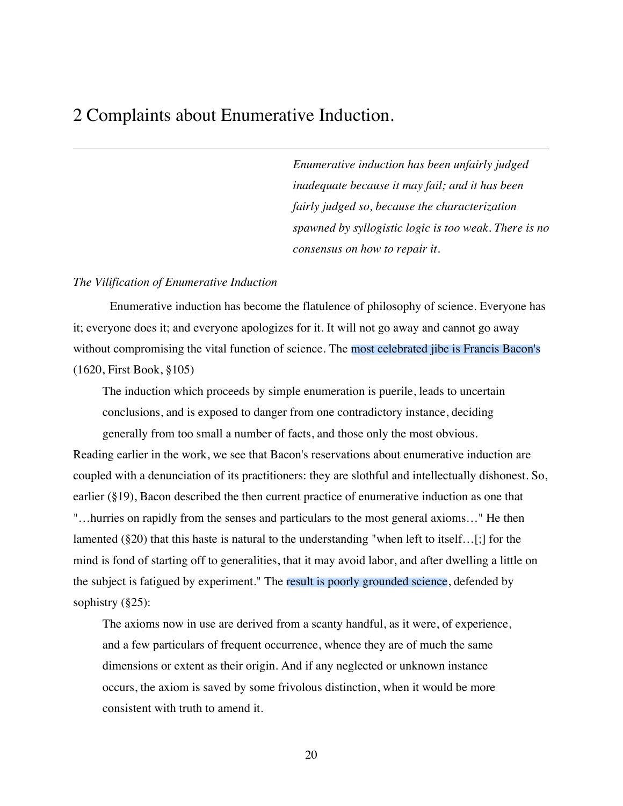### 2 Complaints about Enumerative Induction.

*Enumerative induction has been unfairly judged inadequate because it may fail; and it has been fairly judged so, because the characterization spawned by syllogistic logic is too weak. There is no consensus on how to repair it.*

#### *The Vilification of Enumerative Induction*

Enumerative induction has become the flatulence of philosophy of science. Everyone has it; everyone does it; and everyone apologizes for it. It will not go away and cannot go away without compromising the vital function of science. The most celebrated jibe is Francis Bacon's (1620, First Book, §105)

The induction which proceeds by simple enumeration is puerile, leads to uncertain conclusions, and is exposed to danger from one contradictory instance, deciding generally from too small a number of facts, and those only the most obvious.

Reading earlier in the work, we see that Bacon's reservations about enumerative induction are coupled with a denunciation of its practitioners: they are slothful and intellectually dishonest. So, earlier (§19), Bacon described the then current practice of enumerative induction as one that "…hurries on rapidly from the senses and particulars to the most general axioms…" He then lamented (§20) that this haste is natural to the understanding "when left to itself…[;] for the mind is fond of starting off to generalities, that it may avoid labor, and after dwelling a little on the subject is fatigued by experiment." The result is poorly grounded science, defended by sophistry (§25):

The axioms now in use are derived from a scanty handful, as it were, of experience, and a few particulars of frequent occurrence, whence they are of much the same dimensions or extent as their origin. And if any neglected or unknown instance occurs, the axiom is saved by some frivolous distinction, when it would be more consistent with truth to amend it.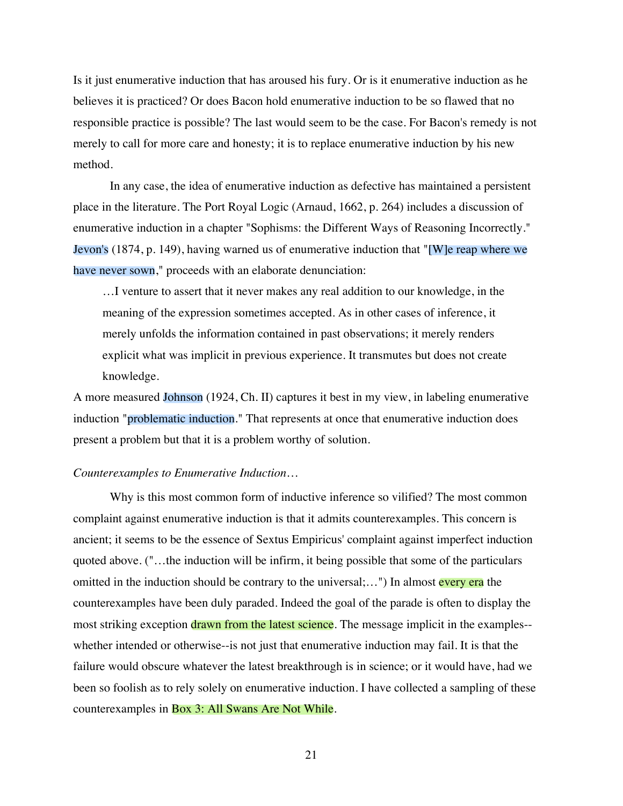Is it just enumerative induction that has aroused his fury. Or is it enumerative induction as he believes it is practiced? Or does Bacon hold enumerative induction to be so flawed that no responsible practice is possible? The last would seem to be the case. For Bacon's remedy is not merely to call for more care and honesty; it is to replace enumerative induction by his new method.

In any case, the idea of enumerative induction as defective has maintained a persistent place in the literature. The Port Royal Logic (Arnaud, 1662, p. 264) includes a discussion of enumerative induction in a chapter "Sophisms: the Different Ways of Reasoning Incorrectly." Jevon's (1874, p. 149), having warned us of enumerative induction that "[W]e reap where we have never sown," proceeds with an elaborate denunciation:

…I venture to assert that it never makes any real addition to our knowledge, in the meaning of the expression sometimes accepted. As in other cases of inference, it merely unfolds the information contained in past observations; it merely renders explicit what was implicit in previous experience. It transmutes but does not create knowledge.

A more measured Johnson (1924, Ch. II) captures it best in my view, in labeling enumerative induction "problematic induction." That represents at once that enumerative induction does present a problem but that it is a problem worthy of solution.

#### *Counterexamples to Enumerative Induction…*

Why is this most common form of inductive inference so vilified? The most common complaint against enumerative induction is that it admits counterexamples. This concern is ancient; it seems to be the essence of Sextus Empiricus' complaint against imperfect induction quoted above. ("…the induction will be infirm, it being possible that some of the particulars omitted in the induction should be contrary to the universal;...") In almost every era the counterexamples have been duly paraded. Indeed the goal of the parade is often to display the most striking exception drawn from the latest science. The message implicit in the examples-whether intended or otherwise--is not just that enumerative induction may fail. It is that the failure would obscure whatever the latest breakthrough is in science; or it would have, had we been so foolish as to rely solely on enumerative induction. I have collected a sampling of these counterexamples in Box 3: All Swans Are Not While.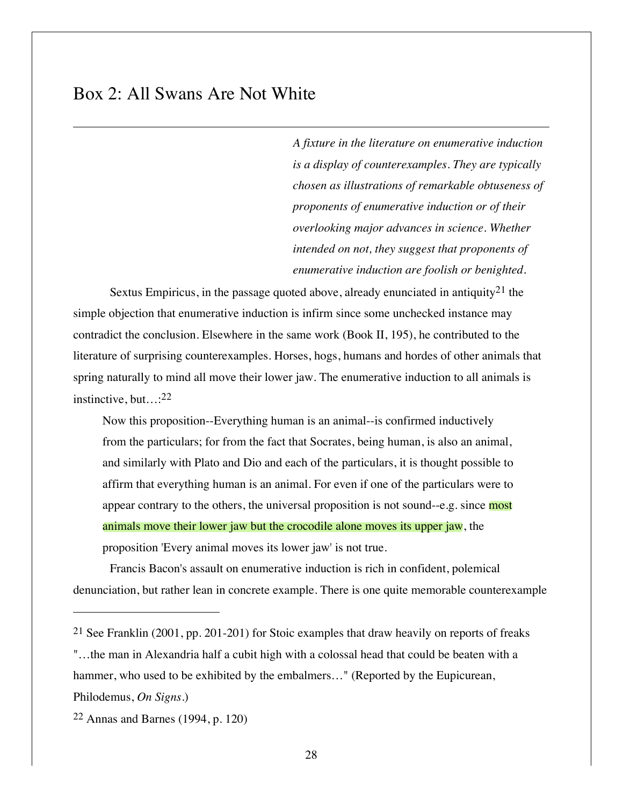## Box 2: All Swans Are Not White

*A fixture in the literature on enumerative induction is a display of counterexamples. They are typically chosen as illustrations of remarkable obtuseness of proponents of enumerative induction or of their overlooking major advances in science. Whether intended on not, they suggest that proponents of enumerative induction are foolish or benighted.*

Sextus Empiricus, in the passage quoted above, already enunciated in antiquity<sup>21</sup> the simple objection that enumerative induction is infirm since some unchecked instance may contradict the conclusion. Elsewhere in the same work (Book II, 195), he contributed to the literature of surprising counterexamples. Horses, hogs, humans and hordes of other animals that spring naturally to mind all move their lower jaw. The enumerative induction to all animals is instinctive, but…:22

Now this proposition--Everything human is an animal--is confirmed inductively from the particulars; for from the fact that Socrates, being human, is also an animal, and similarly with Plato and Dio and each of the particulars, it is thought possible to affirm that everything human is an animal. For even if one of the particulars were to appear contrary to the others, the universal proposition is not sound--e.g. since most animals move their lower jaw but the crocodile alone moves its upper jaw, the proposition 'Every animal moves its lower jaw' is not true.

Francis Bacon's assault on enumerative induction is rich in confident, polemical denunciation, but rather lean in concrete example. There is one quite memorable counterexample

"…the man in Alexandria half a cubit high with a colossal head that could be beaten with a hammer, who used to be exhibited by the embalmers..." (Reported by the Eupicurean, Philodemus, *On Signs.*)

 $\overline{a}$ 

<sup>&</sup>lt;sup>21</sup> See Franklin (2001, pp. 201-201) for Stoic examples that draw heavily on reports of freaks

<sup>22</sup> Annas and Barnes (1994, p. 120)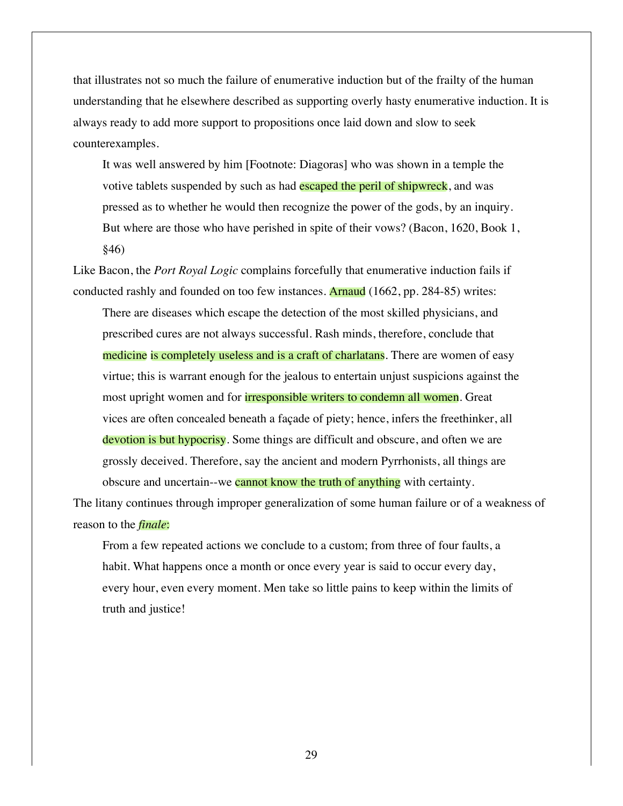that illustrates not so much the failure of enumerative induction but of the frailty of the human understanding that he elsewhere described as supporting overly hasty enumerative induction. It is always ready to add more support to propositions once laid down and slow to seek counterexamples.

It was well answered by him [Footnote: Diagoras] who was shown in a temple the votive tablets suspended by such as had escaped the peril of shipwreck, and was pressed as to whether he would then recognize the power of the gods, by an inquiry. But where are those who have perished in spite of their vows? (Bacon, 1620, Book 1, §46)

Like Bacon, the *Port Royal Logic* complains forcefully that enumerative induction fails if conducted rashly and founded on too few instances. Arnaud (1662, pp. 284-85) writes:

There are diseases which escape the detection of the most skilled physicians, and prescribed cures are not always successful. Rash minds, therefore, conclude that medicine is completely useless and is a craft of charlatans. There are women of easy virtue; this is warrant enough for the jealous to entertain unjust suspicions against the most upright women and for **irresponsible writers to condemn all women**. Great vices are often concealed beneath a façade of piety; hence, infers the freethinker, all devotion is but hypocrisy. Some things are difficult and obscure, and often we are grossly deceived. Therefore, say the ancient and modern Pyrrhonists, all things are obscure and uncertain--we cannot know the truth of anything with certainty.

The litany continues through improper generalization of some human failure or of a weakness of reason to the *finale*:

From a few repeated actions we conclude to a custom; from three of four faults, a habit. What happens once a month or once every year is said to occur every day, every hour, even every moment. Men take so little pains to keep within the limits of truth and justice!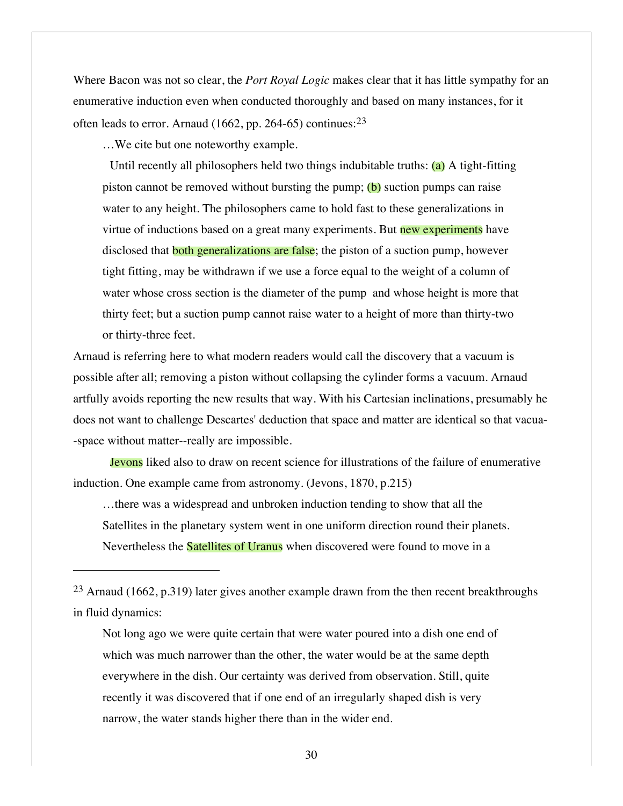Where Bacon was not so clear, the *Port Royal Logic* makes clear that it has little sympathy for an enumerative induction even when conducted thoroughly and based on many instances, for it often leads to error. Arnaud (1662, pp. 264-65) continues:23

…We cite but one noteworthy example.

 $\overline{a}$ 

Until recently all philosophers held two things indubitable truths: (a) A tight-fitting piston cannot be removed without bursting the pump;  $(b)$  suction pumps can raise water to any height. The philosophers came to hold fast to these generalizations in virtue of inductions based on a great many experiments. But new experiments have disclosed that **both generalizations are false**; the piston of a suction pump, however tight fitting, may be withdrawn if we use a force equal to the weight of a column of water whose cross section is the diameter of the pump and whose height is more that thirty feet; but a suction pump cannot raise water to a height of more than thirty-two or thirty-three feet.

Arnaud is referring here to what modern readers would call the discovery that a vacuum is possible after all; removing a piston without collapsing the cylinder forms a vacuum. Arnaud artfully avoids reporting the new results that way. With his Cartesian inclinations, presumably he does not want to challenge Descartes' deduction that space and matter are identical so that vacua- -space without matter--really are impossible.

Jevons liked also to draw on recent science for illustrations of the failure of enumerative induction. One example came from astronomy. (Jevons, 1870, p.215)

…there was a widespread and unbroken induction tending to show that all the Satellites in the planetary system went in one uniform direction round their planets. Nevertheless the Satellites of Uranus when discovered were found to move in a

Not long ago we were quite certain that were water poured into a dish one end of which was much narrower than the other, the water would be at the same depth everywhere in the dish. Our certainty was derived from observation. Still, quite recently it was discovered that if one end of an irregularly shaped dish is very narrow, the water stands higher there than in the wider end.

<sup>&</sup>lt;sup>23</sup> Arnaud (1662, p.319) later gives another example drawn from the then recent breakthroughs in fluid dynamics: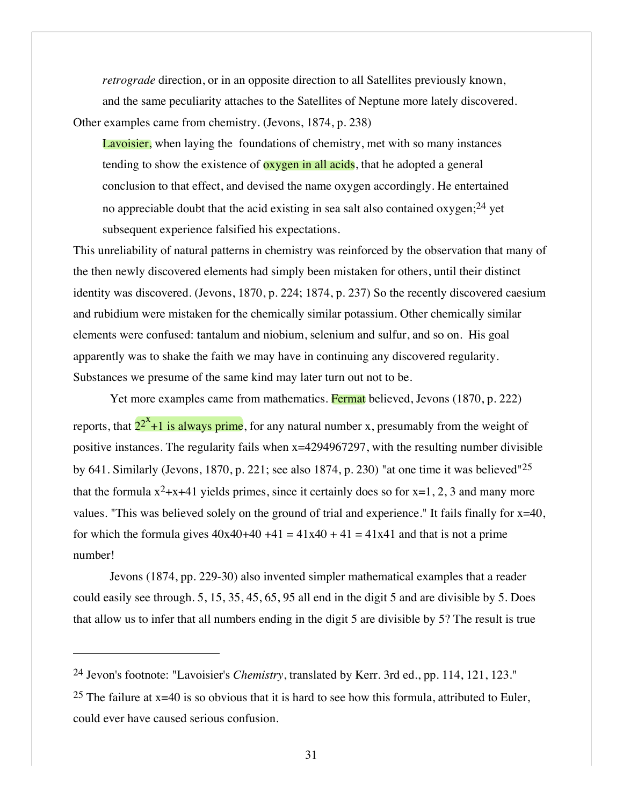*retrograde* direction, or in an opposite direction to all Satellites previously known, and the same peculiarity attaches to the Satellites of Neptune more lately discovered. Other examples came from chemistry. (Jevons, 1874, p. 238)

Lavoisier, when laying the foundations of chemistry, met with so many instances tending to show the existence of **oxygen in all acids**, that he adopted a general conclusion to that effect, and devised the name oxygen accordingly. He entertained no appreciable doubt that the acid existing in sea salt also contained oxygen;<sup>24</sup> yet subsequent experience falsified his expectations.

This unreliability of natural patterns in chemistry was reinforced by the observation that many of the then newly discovered elements had simply been mistaken for others, until their distinct identity was discovered. (Jevons, 1870, p. 224; 1874, p. 237) So the recently discovered caesium and rubidium were mistaken for the chemically similar potassium. Other chemically similar elements were confused: tantalum and niobium, selenium and sulfur, and so on. His goal apparently was to shake the faith we may have in continuing any discovered regularity. Substances we presume of the same kind may later turn out not to be.

Yet more examples came from mathematics. Fermat believed, Jevons (1870, p. 222)

reports, that  $2^{2^x}+1$  is always prime, for any natural number x, presumably from the weight of positive instances. The regularity fails when x=4294967297, with the resulting number divisible by 641. Similarly (Jevons, 1870, p. 221; see also 1874, p. 230) "at one time it was believed"25 that the formula  $x^2+x+41$  yields primes, since it certainly does so for  $x=1, 2, 3$  and many more values. "This was believed solely on the ground of trial and experience." It fails finally for x=40, for which the formula gives  $40x40+40+41 = 41x40 + 41 = 41x41$  and that is not a prime number!

Jevons (1874, pp. 229-30) also invented simpler mathematical examples that a reader could easily see through. 5, 15, 35, 45, 65, 95 all end in the digit 5 and are divisible by 5. Does that allow us to infer that all numbers ending in the digit 5 are divisible by 5? The result is true

 $\overline{a}$ 

<sup>25</sup> The failure at  $x=40$  is so obvious that it is hard to see how this formula, attributed to Euler, could ever have caused serious confusion.

<sup>24</sup> Jevon's footnote: "Lavoisier's *Chemistry*, translated by Kerr. 3rd ed., pp. 114, 121, 123."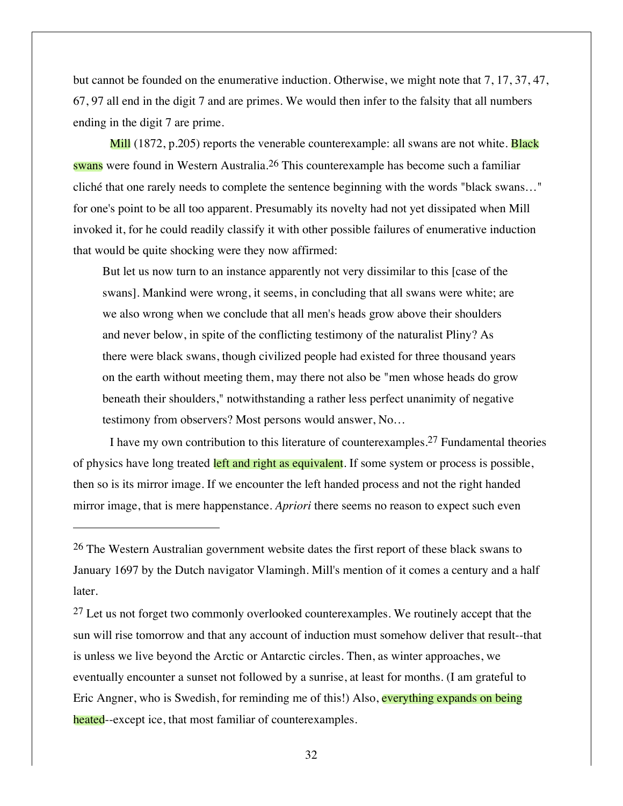but cannot be founded on the enumerative induction. Otherwise, we might note that 7, 17, 37, 47, 67, 97 all end in the digit 7 and are primes. We would then infer to the falsity that all numbers ending in the digit 7 are prime.

Mill (1872, p.205) reports the venerable counterexample: all swans are not white. **Black** swans were found in Western Australia.26 This counterexample has become such a familiar cliché that one rarely needs to complete the sentence beginning with the words "black swans…" for one's point to be all too apparent. Presumably its novelty had not yet dissipated when Mill invoked it, for he could readily classify it with other possible failures of enumerative induction that would be quite shocking were they now affirmed:

But let us now turn to an instance apparently not very dissimilar to this [case of the swans]. Mankind were wrong, it seems, in concluding that all swans were white; are we also wrong when we conclude that all men's heads grow above their shoulders and never below, in spite of the conflicting testimony of the naturalist Pliny? As there were black swans, though civilized people had existed for three thousand years on the earth without meeting them, may there not also be "men whose heads do grow beneath their shoulders," notwithstanding a rather less perfect unanimity of negative testimony from observers? Most persons would answer, No…

I have my own contribution to this literature of counterexamples.27 Fundamental theories of physics have long treated left and right as equivalent. If some system or process is possible, then so is its mirror image. If we encounter the left handed process and not the right handed mirror image, that is mere happenstance. *Apriori* there seems no reason to expect such even

 $\overline{a}$ 

<sup>27</sup> Let us not forget two commonly overlooked counterexamples. We routinely accept that the sun will rise tomorrow and that any account of induction must somehow deliver that result--that is unless we live beyond the Arctic or Antarctic circles. Then, as winter approaches, we eventually encounter a sunset not followed by a sunrise, at least for months. (I am grateful to Eric Angner, who is Swedish, for reminding me of this!) Also, everything expands on being heated--except ice, that most familiar of counterexamples.

32

<sup>26</sup> The Western Australian government website dates the first report of these black swans to January 1697 by the Dutch navigator Vlamingh. Mill's mention of it comes a century and a half later.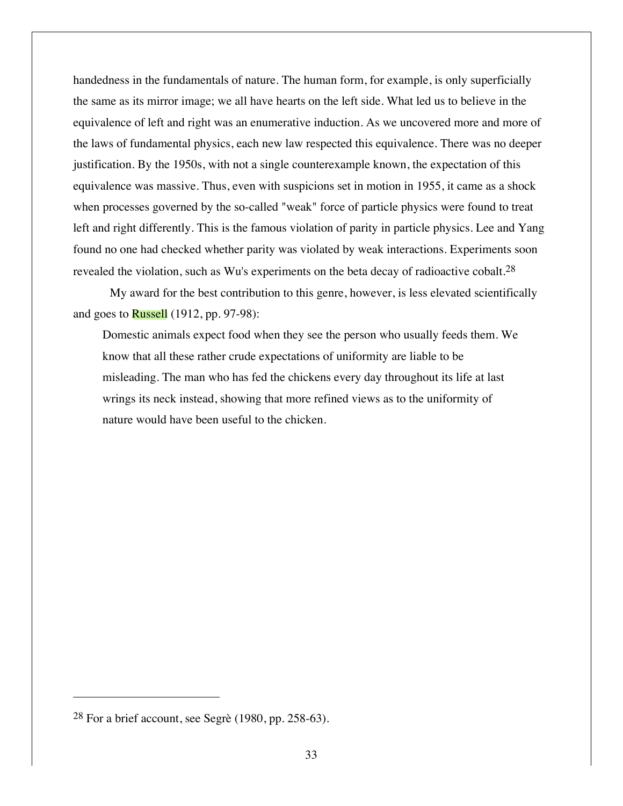handedness in the fundamentals of nature. The human form, for example, is only superficially the same as its mirror image; we all have hearts on the left side. What led us to believe in the equivalence of left and right was an enumerative induction. As we uncovered more and more of the laws of fundamental physics, each new law respected this equivalence. There was no deeper justification. By the 1950s, with not a single counterexample known, the expectation of this equivalence was massive. Thus, even with suspicions set in motion in 1955, it came as a shock when processes governed by the so-called "weak" force of particle physics were found to treat left and right differently. This is the famous violation of parity in particle physics. Lee and Yang found no one had checked whether parity was violated by weak interactions. Experiments soon revealed the violation, such as Wu's experiments on the beta decay of radioactive cobalt.28

My award for the best contribution to this genre, however, is less elevated scientifically and goes to  $Russell$  (1912, pp. 97-98):

Domestic animals expect food when they see the person who usually feeds them. We know that all these rather crude expectations of uniformity are liable to be misleading. The man who has fed the chickens every day throughout its life at last wrings its neck instead, showing that more refined views as to the uniformity of nature would have been useful to the chicken.

 $\overline{a}$ 

<sup>28</sup> For a brief account, see Segrè (1980, pp. 258-63).